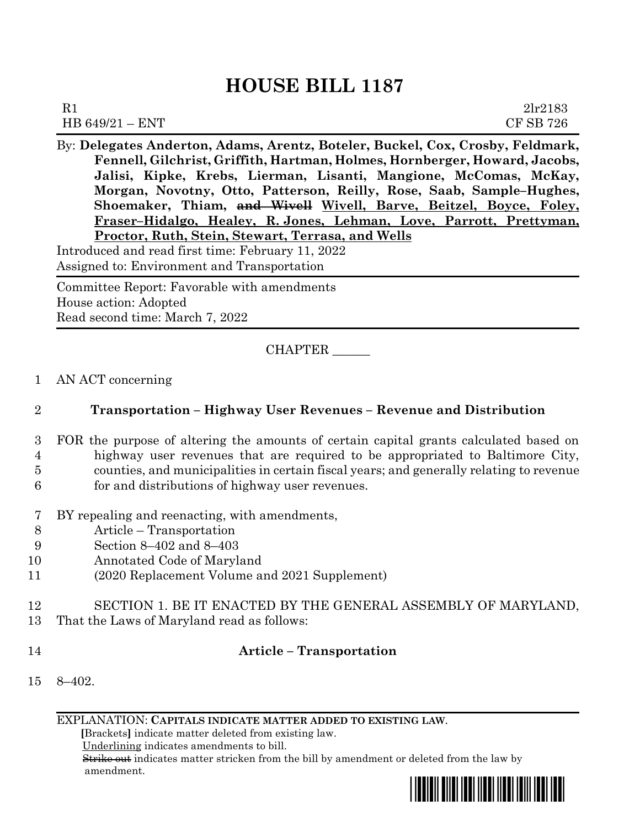# **HOUSE BILL 1187**

| R1                | 2lr2183          |
|-------------------|------------------|
| HB $649/21 - ENT$ | <b>CF SB 726</b> |

By: **Delegates Anderton, Adams, Arentz, Boteler, Buckel, Cox, Crosby, Feldmark, Fennell, Gilchrist, Griffith, Hartman, Holmes, Hornberger, Howard, Jacobs, Jalisi, Kipke, Krebs, Lierman, Lisanti, Mangione, McComas, McKay, Morgan, Novotny, Otto, Patterson, Reilly, Rose, Saab, Sample–Hughes, Shoemaker, Thiam, and Wivell Wivell, Barve, Beitzel, Boyce, Foley, Fraser–Hidalgo, Healey, R. Jones, Lehman, Love, Parrott, Prettyman, Proctor, Ruth, Stein, Stewart, Terrasa, and Wells**

Introduced and read first time: February 11, 2022 Assigned to: Environment and Transportation

Committee Report: Favorable with amendments House action: Adopted Read second time: March 7, 2022

# CHAPTER \_\_\_\_\_\_

#### 1 AN ACT concerning

# 2 **Transportation – Highway User Revenues – Revenue and Distribution**

- 3 FOR the purpose of altering the amounts of certain capital grants calculated based on 4 highway user revenues that are required to be appropriated to Baltimore City, 5 counties, and municipalities in certain fiscal years; and generally relating to revenue 6 for and distributions of highway user revenues.
- 7 BY repealing and reenacting, with amendments,
- 8 Article Transportation
- 9 Section 8–402 and 8–403
- 10 Annotated Code of Maryland
- 11 (2020 Replacement Volume and 2021 Supplement)
- 12 SECTION 1. BE IT ENACTED BY THE GENERAL ASSEMBLY OF MARYLAND, 13 That the Laws of Maryland read as follows:
- 

# 14 **Article – Transportation**

15 8–402.

EXPLANATION: **CAPITALS INDICATE MATTER ADDED TO EXISTING LAW**.

 **[**Brackets**]** indicate matter deleted from existing law.

Underlining indicates amendments to bill.

 Strike out indicates matter stricken from the bill by amendment or deleted from the law by amendment.

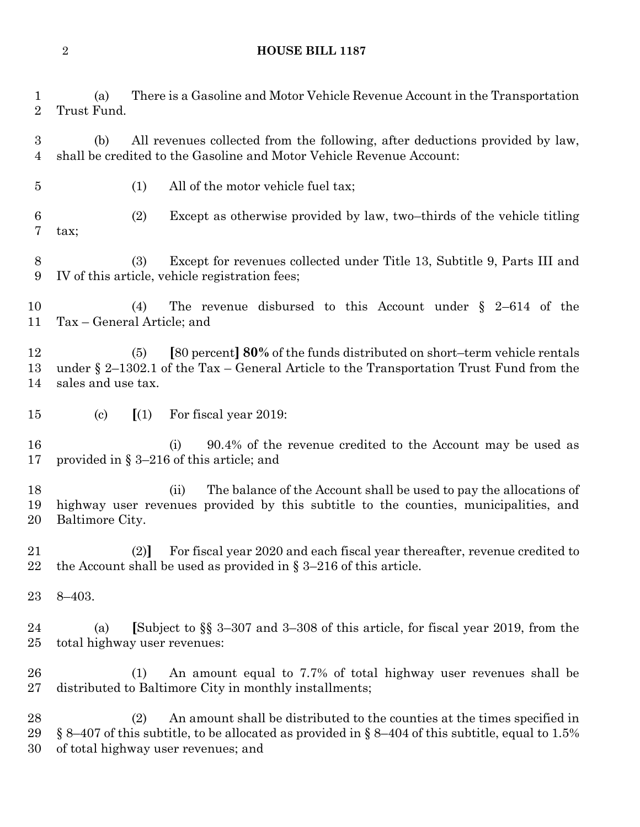#### **HOUSE BILL 1187**

 (a) There is a Gasoline and Motor Vehicle Revenue Account in the Transportation Trust Fund.

 (b) All revenues collected from the following, after deductions provided by law, shall be credited to the Gasoline and Motor Vehicle Revenue Account:

(1) All of the motor vehicle fuel tax;

 (2) Except as otherwise provided by law, two–thirds of the vehicle titling tax;

 (3) Except for revenues collected under Title 13, Subtitle 9, Parts III and IV of this article, vehicle registration fees;

 (4) The revenue disbursed to this Account under § 2–614 of the Tax – General Article; and

 (5) **[**80 percent**] 80%** of the funds distributed on short–term vehicle rentals under § 2–1302.1 of the Tax – General Article to the Transportation Trust Fund from the sales and use tax.

(c) **[**(1) For fiscal year 2019:

 (i) 90.4% of the revenue credited to the Account may be used as provided in § 3–216 of this article; and

 (ii) The balance of the Account shall be used to pay the allocations of highway user revenues provided by this subtitle to the counties, municipalities, and Baltimore City.

 (2)**]** For fiscal year 2020 and each fiscal year thereafter, revenue credited to 22 the Account shall be used as provided in  $\S 3-216$  of this article.

8–403.

 (a) **[**Subject to §§ 3–307 and 3–308 of this article, for fiscal year 2019, from the total highway user revenues:

 (1) An amount equal to 7.7% of total highway user revenues shall be distributed to Baltimore City in monthly installments;

 (2) An amount shall be distributed to the counties at the times specified in 29 § 8–407 of this subtitle, to be allocated as provided in § 8–404 of this subtitle, equal to 1.5% of total highway user revenues; and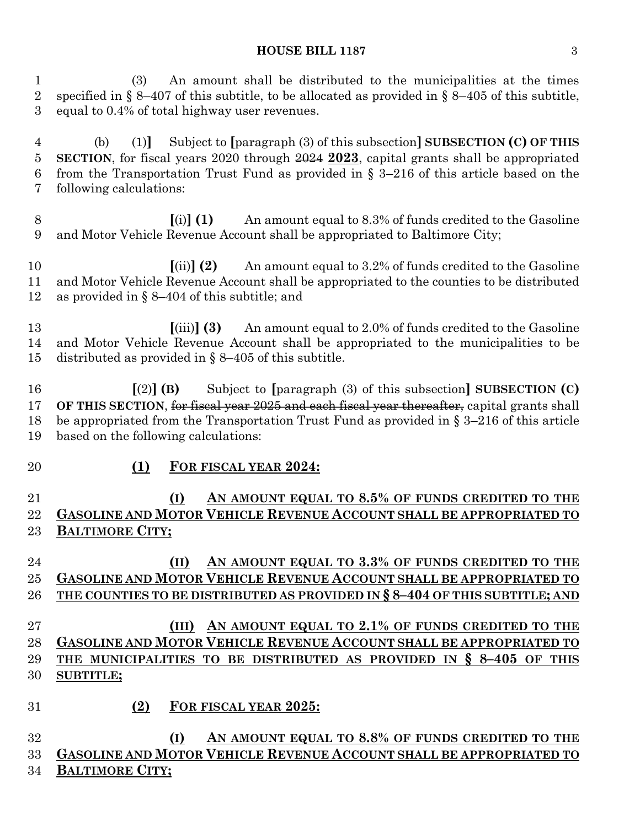#### **HOUSE BILL 1187** 3

 (3) An amount shall be distributed to the municipalities at the times specified in § 8–407 of this subtitle, to be allocated as provided in § 8–405 of this subtitle, equal to 0.4% of total highway user revenues. (b) (1)**]** Subject to **[**paragraph (3) of this subsection**] SUBSECTION (C) OF THIS SECTION**, for fiscal years 2020 through 2024 **2023**, capital grants shall be appropriated from the Transportation Trust Fund as provided in § 3–216 of this article based on the following calculations: **[**(i)**] (1)** An amount equal to 8.3% of funds credited to the Gasoline and Motor Vehicle Revenue Account shall be appropriated to Baltimore City; **[**(ii)**] (2)** An amount equal to 3.2% of funds credited to the Gasoline and Motor Vehicle Revenue Account shall be appropriated to the counties to be distributed as provided in § 8–404 of this subtitle; and **[**(iii)**] (3)** An amount equal to 2.0% of funds credited to the Gasoline and Motor Vehicle Revenue Account shall be appropriated to the municipalities to be distributed as provided in § 8–405 of this subtitle. **[**(2)**] (B)** Subject to **[**paragraph (3) of this subsection**] SUBSECTION (C) OF THIS SECTION**, for fiscal year 2025 and each fiscal year thereafter, capital grants shall be appropriated from the Transportation Trust Fund as provided in § 3–216 of this article based on the following calculations: **(1) FOR FISCAL YEAR 2024: (I) AN AMOUNT EQUAL TO 8.5% OF FUNDS CREDITED TO THE GASOLINE AND MOTOR VEHICLE REVENUE ACCOUNT SHALL BE APPROPRIATED TO BALTIMORE CITY; (II) AN AMOUNT EQUAL TO 3.3% OF FUNDS CREDITED TO THE GASOLINE AND MOTOR VEHICLE REVENUE ACCOUNT SHALL BE APPROPRIATED TO THE COUNTIES TO BE DISTRIBUTED AS PROVIDED IN § 8–404 OF THIS SUBTITLE; AND (III) AN AMOUNT EQUAL TO 2.1% OF FUNDS CREDITED TO THE GASOLINE AND MOTOR VEHICLE REVENUE ACCOUNT SHALL BE APPROPRIATED TO THE MUNICIPALITIES TO BE DISTRIBUTED AS PROVIDED IN § 8–405 OF THIS SUBTITLE; (2) FOR FISCAL YEAR 2025: (I) AN AMOUNT EQUAL TO 8.8% OF FUNDS CREDITED TO THE GASOLINE AND MOTOR VEHICLE REVENUE ACCOUNT SHALL BE APPROPRIATED TO BALTIMORE CITY;**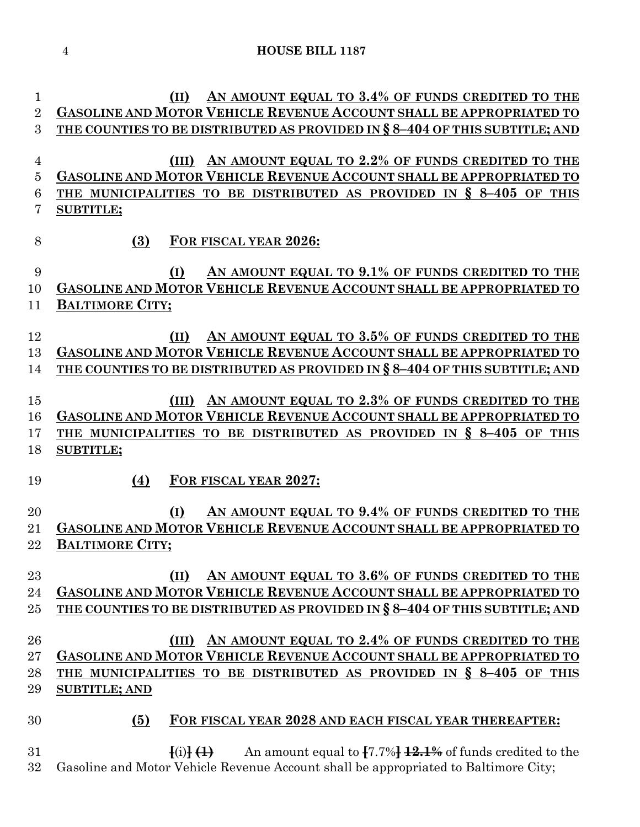**HOUSE BILL 1187**

 **(II) AN AMOUNT EQUAL TO 3.4% OF FUNDS CREDITED TO THE GASOLINE AND MOTOR VEHICLE REVENUE ACCOUNT SHALL BE APPROPRIATED TO THE COUNTIES TO BE DISTRIBUTED AS PROVIDED IN § 8–404 OF THIS SUBTITLE; AND (III) AN AMOUNT EQUAL TO 2.2% OF FUNDS CREDITED TO THE GASOLINE AND MOTOR VEHICLE REVENUE ACCOUNT SHALL BE APPROPRIATED TO THE MUNICIPALITIES TO BE DISTRIBUTED AS PROVIDED IN § 8–405 OF THIS SUBTITLE; (3) FOR FISCAL YEAR 2026: (I) AN AMOUNT EQUAL TO 9.1% OF FUNDS CREDITED TO THE GASOLINE AND MOTOR VEHICLE REVENUE ACCOUNT SHALL BE APPROPRIATED TO BALTIMORE CITY; (II) AN AMOUNT EQUAL TO 3.5% OF FUNDS CREDITED TO THE GASOLINE AND MOTOR VEHICLE REVENUE ACCOUNT SHALL BE APPROPRIATED TO THE COUNTIES TO BE DISTRIBUTED AS PROVIDED IN § 8–404 OF THIS SUBTITLE; AND (III) AN AMOUNT EQUAL TO 2.3% OF FUNDS CREDITED TO THE GASOLINE AND MOTOR VEHICLE REVENUE ACCOUNT SHALL BE APPROPRIATED TO THE MUNICIPALITIES TO BE DISTRIBUTED AS PROVIDED IN § 8–405 OF THIS SUBTITLE; (4) FOR FISCAL YEAR 2027: (I) AN AMOUNT EQUAL TO 9.4% OF FUNDS CREDITED TO THE GASOLINE AND MOTOR VEHICLE REVENUE ACCOUNT SHALL BE APPROPRIATED TO BALTIMORE CITY; (II) AN AMOUNT EQUAL TO 3.6% OF FUNDS CREDITED TO THE GASOLINE AND MOTOR VEHICLE REVENUE ACCOUNT SHALL BE APPROPRIATED TO THE COUNTIES TO BE DISTRIBUTED AS PROVIDED IN § 8–404 OF THIS SUBTITLE; AND (III) AN AMOUNT EQUAL TO 2.4% OF FUNDS CREDITED TO THE GASOLINE AND MOTOR VEHICLE REVENUE ACCOUNT SHALL BE APPROPRIATED TO THE MUNICIPALITIES TO BE DISTRIBUTED AS PROVIDED IN § 8–405 OF THIS SUBTITLE; AND (5) FOR FISCAL YEAR 2028 AND EACH FISCAL YEAR THEREAFTER: [**(i)**] (1)** An amount equal to **[**7.7%**] 12.1%** of funds credited to the Gasoline and Motor Vehicle Revenue Account shall be appropriated to Baltimore City;